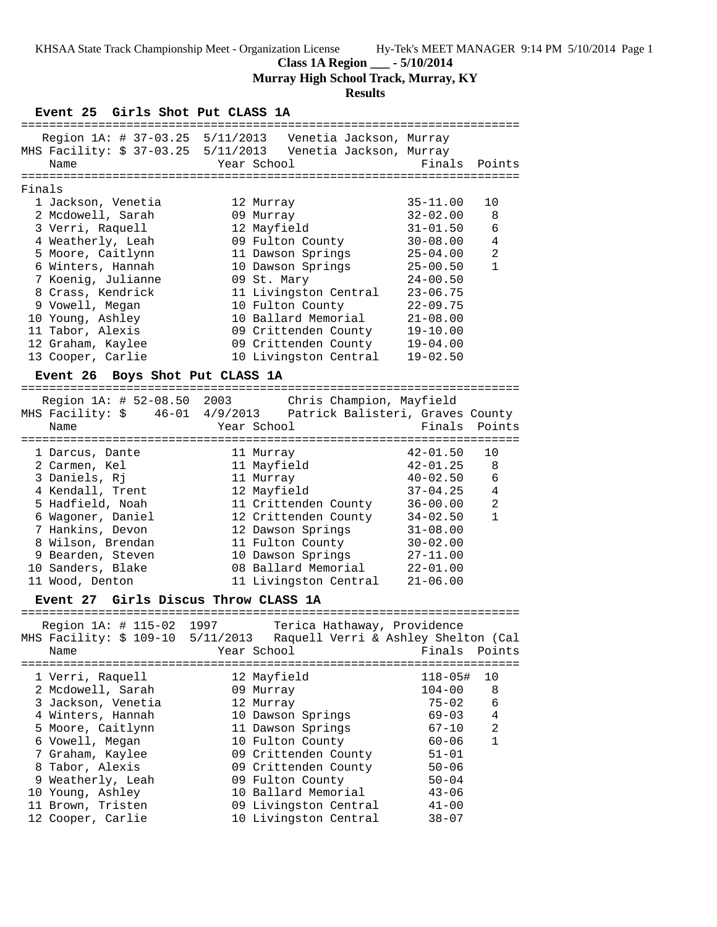**Class 1A Region \_\_\_ - 5/10/2014**

**Murray High School Track, Murray, KY**

# **Results**

**Event 25 Girls Shot Put CLASS 1A**

|        |                                                                                                                                                                                                                      |                                                                                                                                                                                                                    | ==========================                                                                                                                                                   |                                                                  |
|--------|----------------------------------------------------------------------------------------------------------------------------------------------------------------------------------------------------------------------|--------------------------------------------------------------------------------------------------------------------------------------------------------------------------------------------------------------------|------------------------------------------------------------------------------------------------------------------------------------------------------------------------------|------------------------------------------------------------------|
|        | Region 1A: # 37-03.25 5/11/2013 Venetia Jackson, Murray<br>MHS Facility: \$ 37-03.25 5/11/2013 Venetia Jackson, Murray<br>Name                                                                                       | Year School                                                                                                                                                                                                        | Finals                                                                                                                                                                       | Points                                                           |
|        |                                                                                                                                                                                                                      |                                                                                                                                                                                                                    |                                                                                                                                                                              |                                                                  |
| Finals |                                                                                                                                                                                                                      |                                                                                                                                                                                                                    |                                                                                                                                                                              |                                                                  |
|        | 1 Jackson, Venetia<br>2 Mcdowell, Sarah<br>3 Verri, Raquell<br>4 Weatherly, Leah<br>5 Moore, Caitlynn<br>6 Winters, Hannah<br>7 Koenig, Julianne<br>8 Crass, Kendrick<br>9 Vowell, Megan<br>10 Young, Ashley         | 12 Murray<br>09 Murray<br>12 Mayfield<br>09 Fulton County<br>11 Dawson Springs<br>10 Dawson Springs<br>09 St. Mary<br>11 Livingston Central<br>10 Fulton County<br>10 Ballard Memorial                             | $35 - 11.00$<br>$32 - 02.00$<br>$31 - 01.50$<br>$30 - 08.00$<br>$25 - 04.00$<br>$25 - 00.50$<br>$24 - 00.50$<br>$23 - 06.75$<br>$22 - 09.75$<br>$21 - 08.00$                 | 10<br>8<br>6<br>$\overline{4}$<br>$\overline{2}$<br>$\mathbf{1}$ |
|        | 11 Tabor, Alexis                                                                                                                                                                                                     |                                                                                                                                                                                                                    |                                                                                                                                                                              |                                                                  |
|        | 12 Graham, Kaylee<br>13 Cooper, Carlie                                                                                                                                                                               | 09 Crittenden County<br>09 Crittenden County<br>10 Livingston Central                                                                                                                                              | $19 - 10.00$<br>$19 - 04.00$<br>$19 - 02.50$                                                                                                                                 |                                                                  |
|        | Event 26 Boys Shot Put CLASS 1A                                                                                                                                                                                      |                                                                                                                                                                                                                    |                                                                                                                                                                              |                                                                  |
|        | Region 1A: # 52-08.50 2003<br>MHS Facility: \$ 46-01 4/9/2013 Patrick Balisteri, Graves County<br>Name                                                                                                               | Chris Champion, Mayfield<br>Year School                                                                                                                                                                            | Finals                                                                                                                                                                       | Points                                                           |
|        | 1 Darcus, Dante<br>2 Carmen, Kel<br>3 Daniels, Rj<br>4 Kendall, Trent<br>5 Hadfield, Noah<br>6 Wagoner, Daniel<br>7 Hankins, Devon<br>8 Wilson, Brendan<br>9 Bearden, Steven<br>10 Sanders, Blake<br>11 Wood, Denton | 11 Murray<br>11 Mayfield<br>11 Murray<br>12 Mayfield<br>11 Crittenden County<br>12 Crittenden County<br>12 Dawson Springs<br>11 Fulton County<br>10 Dawson Springs<br>08 Ballard Memorial<br>11 Livingston Central | $42 - 01.50$<br>$42 - 01.25$<br>$40 - 02.50$<br>$37 - 04.25$<br>$36 - 00.00$<br>$34 - 02.50$<br>$31 - 08.00$<br>$30 - 02.00$<br>$27 - 11.00$<br>$22 - 01.00$<br>$21 - 06.00$ | 10<br>8<br>6<br>$\overline{4}$<br>2<br>$\mathbf{1}$              |
|        | Girls Discus Throw CLASS 1A<br><b>Event 27</b>                                                                                                                                                                       |                                                                                                                                                                                                                    |                                                                                                                                                                              |                                                                  |
|        | Region 1A: # 115-02 1997<br>MHS Facility: \$ 109-10 5/11/2013<br>Name                                                                                                                                                | Terica Hathaway, Providence<br>Raquell Verri & Ashley Shelton (Cal<br>Year School                                                                                                                                  | Finals                                                                                                                                                                       | Points                                                           |
|        | 1 Verri, Raquell<br>2 Mcdowell, Sarah<br>3 Jackson, Venetia<br>4 Winters, Hannah<br>5 Moore, Caitlynn<br>6 Vowell, Megan<br>7 Graham, Kaylee                                                                         | 12 Mayfield<br>09 Murray<br>12 Murray<br>10 Dawson Springs<br>11 Dawson Springs<br>10 Fulton County<br>09 Crittenden County                                                                                        | $118 - 05$ #<br>$104 - 00$<br>$75 - 02$<br>$69 - 03$<br>$67 - 10$<br>$60 - 06$<br>$51 - 01$                                                                                  | 10<br>8<br>6<br>4<br>2<br>$\mathbf{1}$                           |
|        | 8 Tabor, Alexis                                                                                                                                                                                                      | 09 Crittenden County                                                                                                                                                                                               | $50 - 06$                                                                                                                                                                    |                                                                  |

 9 Weatherly, Leah 09 Fulton County 50-04 10 Young, Ashley 10 Ballard Memorial 43-06 11 Brown, Tristen 09 Livingston Central 41-00 12 Cooper, Carlie 10 Livingston Central 38-07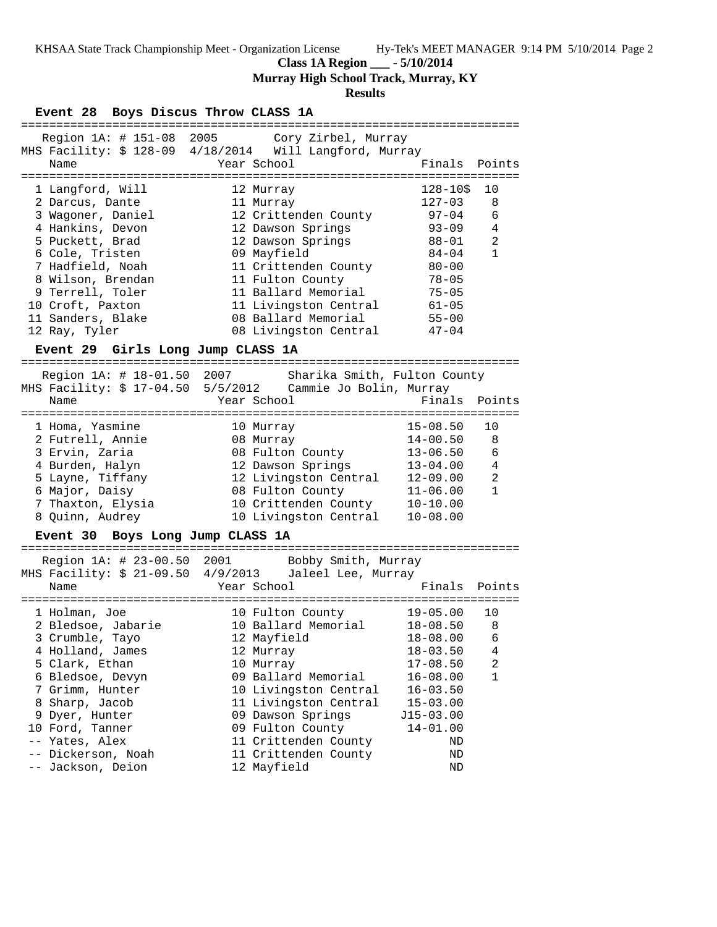**Class 1A Region \_\_\_ - 5/10/2014**

**Murray High School Track, Murray, KY**

# **Results**

|                                                                                                                                                                                                                                                                          |  |  |  | Event 28 Boys Discus Throw CLASS 1A                                                                                                                                                                                                                               |                     |  |                                                                                                                                                                                                  |                                                     |
|--------------------------------------------------------------------------------------------------------------------------------------------------------------------------------------------------------------------------------------------------------------------------|--|--|--|-------------------------------------------------------------------------------------------------------------------------------------------------------------------------------------------------------------------------------------------------------------------|---------------------|--|--------------------------------------------------------------------------------------------------------------------------------------------------------------------------------------------------|-----------------------------------------------------|
| Name                                                                                                                                                                                                                                                                     |  |  |  | Region 1A: # 151-08 2005 Cory Zirbel, Murray<br>MHS Facility: \$ 128-09 4/18/2014 Will Langford, Murray<br>Year School                                                                                                                                            |                     |  | Finals                                                                                                                                                                                           | Points                                              |
| 1 Langford, Will<br>2 Darcus, Dante<br>3 Wagoner, Daniel<br>4 Hankins, Devon<br>5 Puckett, Brad<br>6 Cole, Tristen<br>7 Hadfield, Noah<br>8 Wilson, Brendan<br>9 Terrell, Toler<br>10 Croft, Paxton<br>11 Sanders, Blake                                                 |  |  |  | 12 Murray<br>11 Murray<br>12 Crittenden County<br>12 Dawson Springs<br>12 Dawson Springs<br>09 Mayfield<br>11 Crittenden County<br>11 Fulton County<br>11 Ballard Memorial<br>11 Livingston Central<br>08 Ballard Memorial                                        |                     |  | $128 - 105$<br>$127 - 03$<br>97-04<br>$93 - 09$<br>$88 - 01$<br>$84 - 04$<br>$80 - 00$<br>$78 - 05$<br>$75 - 05$<br>$61 - 05$<br>$55 - 00$                                                       | 10<br>8<br>6<br>4<br>$\overline{a}$<br>$\mathbf{1}$ |
| 12 Ray, Tyler                                                                                                                                                                                                                                                            |  |  |  | 08 Livingston Central                                                                                                                                                                                                                                             |                     |  | $47 - 04$                                                                                                                                                                                        |                                                     |
| Region 1A: # 18-01.50 2007<br>Name                                                                                                                                                                                                                                       |  |  |  | Event 29 Girls Long Jump CLASS 1A<br>MHS Facility: \$ 17-04.50  5/5/2012  Cammie Jo Bolin, Murray<br>Year School                                                                                                                                                  |                     |  | Sharika Smith, Fulton County<br>Finals                                                                                                                                                           | Points                                              |
| 1 Homa, Yasmine<br>2 Futrell, Annie<br>3 Ervin, Zaria<br>4 Burden, Halyn<br>5 Layne, Tiffany<br>6 Major, Daisy<br>7 Thaxton, Elysia<br>8 Quinn, Audrey                                                                                                                   |  |  |  | 10 Murray<br>08 Murray<br>08 Fulton County<br>12 Dawson Springs<br>12 Dawson Springs<br>12 Livingston Central<br>08 Fulton County<br>10 Crittenden County<br>10 Livingston Central                                                                                |                     |  | $15 - 08.50$<br>$14 - 00.50$<br>$13 - 06.50$<br>$13 - 04.00$<br>$12 - 09.00$<br>$11 - 06.00$<br>$10 - 10.00$<br>$10 - 08.00$                                                                     | 10<br>8<br>6<br>$\overline{4}$<br>2<br>$\mathbf{1}$ |
|                                                                                                                                                                                                                                                                          |  |  |  | Event 30 Boys Long Jump CLASS 1A                                                                                                                                                                                                                                  |                     |  |                                                                                                                                                                                                  |                                                     |
| Region 1A: # 23-00.50 2001<br>Name                                                                                                                                                                                                                                       |  |  |  | MHS Facility: \$ 21-09.50 4/9/2013 Jaleel Lee, Murray<br>Year School                                                                                                                                                                                              | Bobby Smith, Murray |  | Finals                                                                                                                                                                                           | Points                                              |
| =============<br>1 Holman, Joe<br>2 Bledsoe, Jabarie<br>3 Crumble, Tayo<br>4 Holland, James<br>5 Clark, Ethan<br>6 Bledsoe, Devyn<br>7 Grimm, Hunter<br>8 Sharp, Jacob<br>9 Dyer, Hunter<br>10 Ford, Tanner<br>-- Yates, Alex<br>-- Dickerson, Noah<br>-- Jackson, Deion |  |  |  | 10 Fulton County<br>10 Ballard Memorial<br>12 Mayfield<br>12 Murray<br>10 Murray<br>09 Ballard Memorial<br>10 Livingston Central<br>11 Livingston Central<br>09 Dawson Springs<br>09 Fulton County<br>11 Crittenden County<br>11 Crittenden County<br>12 Mayfield |                     |  | ===================<br>19-05.00<br>$18 - 08.50$<br>$18 - 08.00$<br>$18 - 03.50$<br>$17 - 08.50$<br>$16 - 08.00$<br>$16 - 03.50$<br>$15 - 03.00$<br>$J15-03.00$<br>$14 - 01.00$<br>ND<br>ND<br>ND | 10<br>8<br>6<br>4<br>2<br>1                         |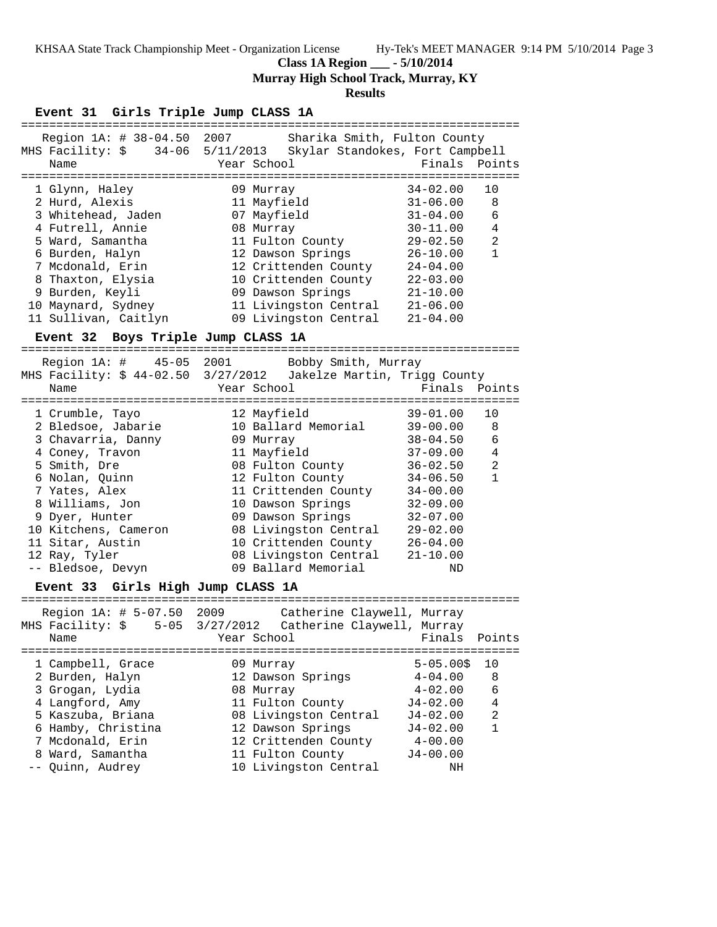**Class 1A Region \_\_\_ - 5/10/2014**

**Murray High School Track, Murray, KY**

### **Results**

#### **Event 31 Girls Triple Jump CLASS 1A**

| Name |                                                                                                                                                                                                                                                                            |      |                                                                                                                                                                                                                                                        |                                                                                  |
|------|----------------------------------------------------------------------------------------------------------------------------------------------------------------------------------------------------------------------------------------------------------------------------|------|--------------------------------------------------------------------------------------------------------------------------------------------------------------------------------------------------------------------------------------------------------|----------------------------------------------------------------------------------|
|      |                                                                                                                                                                                                                                                                            |      |                                                                                                                                                                                                                                                        |                                                                                  |
|      |                                                                                                                                                                                                                                                                            |      | $34 - 02.00$                                                                                                                                                                                                                                           | 10                                                                               |
|      |                                                                                                                                                                                                                                                                            |      | $31 - 06.00$                                                                                                                                                                                                                                           | 8                                                                                |
|      |                                                                                                                                                                                                                                                                            |      | $31 - 04.00$                                                                                                                                                                                                                                           | 6                                                                                |
|      |                                                                                                                                                                                                                                                                            |      | $30 - 11.00$                                                                                                                                                                                                                                           | $\overline{4}$                                                                   |
|      |                                                                                                                                                                                                                                                                            |      | $29 - 02.50$                                                                                                                                                                                                                                           | $\mathfrak{D}$                                                                   |
|      |                                                                                                                                                                                                                                                                            |      | $26 - 10.00$                                                                                                                                                                                                                                           |                                                                                  |
|      |                                                                                                                                                                                                                                                                            |      | $24 - 04.00$                                                                                                                                                                                                                                           |                                                                                  |
|      |                                                                                                                                                                                                                                                                            |      | $22 - 03.00$                                                                                                                                                                                                                                           |                                                                                  |
|      |                                                                                                                                                                                                                                                                            |      | $21 - 10.00$                                                                                                                                                                                                                                           |                                                                                  |
|      |                                                                                                                                                                                                                                                                            |      | $21 - 06.00$                                                                                                                                                                                                                                           |                                                                                  |
|      |                                                                                                                                                                                                                                                                            |      | $21 - 04.00$                                                                                                                                                                                                                                           |                                                                                  |
|      | Region $1A: # 38-04.50$<br>MHS Facility: \$<br>1 Glynn, Haley<br>2 Hurd, Alexis<br>3 Whitehead, Jaden<br>4 Futrell, Annie<br>5 Ward, Samantha<br>6 Burden, Halyn<br>7 Mcdonald, Erin<br>8 Thaxton, Elysia<br>9 Burden, Keyli<br>10 Maynard, Sydney<br>11 Sullivan, Caitlyn | 2007 | 34-06 5/11/2013<br>Year School<br>09 Murray<br>11 Mayfield<br>07 Mayfield<br>08 Murray<br>11 Fulton County<br>12 Dawson Springs<br>12 Crittenden County<br>10 Crittenden County<br>09 Dawson Springs<br>11 Livingston Central<br>09 Livingston Central | Sharika Smith, Fulton County<br>Skylar Standokes, Fort Campbell<br>Finals Points |

## **Event 32 Boys Triple Jump CLASS 1A**

======================================================================= Region 1A: # 45-05 2001 Bobby Smith, Murray MHS Facility: \$ 44-02.50 3/27/2012 Jakelze Martin, Trigg County Name The Year School The Pinals Points ======================================================================= 1 Crumble, Tayo 12 Mayfield 39-01.00 10 2 Bledsoe, Jabarie 10 Ballard Memorial 39-00.00 8 3 Chavarria, Danny 09 Murray 38-04.50 6 4 Coney, Travon 11 Mayfield 37-09.00 4 5 Smith, Dre 08 Fulton County 36-02.50 2 6 Nolan, Quinn 12 Fulton County 34-06.50 1 7 Yates, Alex 11 Crittenden County 34-00.00 8 Williams, Jon 10 Dawson Springs 32-09.00 9 Dyer, Hunter 09 Dawson Springs 32-07.00 10 Kitchens, Cameron 08 Livingston Central 29-02.00 11 Sitar, Austin 10 Crittenden County 26-04.00 12 Ray, Tyler 08 Livingston Central 21-10.00 -- Bledsoe, Devyn 09 Ballard Memorial ND

#### **Event 33 Girls High Jump CLASS 1A** =======================================================================

|   | Region 1A: # 5-07.50 2009 | Catherine Claywell, Murray<br>MHS Facility: \$ 5-05 3/27/2012  Catherine Claywell, Murray |                |                |
|---|---------------------------|-------------------------------------------------------------------------------------------|----------------|----------------|
|   | Name                      | Year School                                                                               | Finals         | Points         |
|   | 1 Campbell, Grace         | 09 Murray                                                                                 | $5 - 05.00$ \$ | 10             |
|   | 2 Burden, Halyn           | 12 Dawson Springs                                                                         | $4 - 04.00$    | 8              |
|   | 3 Grogan, Lydia           | 08 Murray                                                                                 | $4 - 02.00$    | 6              |
|   | 4 Langford, Amy           | 11 Fulton County                                                                          | $J4 - 02.00$   | $\overline{4}$ |
|   | 5 Kaszuba, Briana         | 08 Livingston Central                                                                     | $J4 - 02.00$   | $\mathfrak{D}$ |
|   | 6 Hamby, Christina        | 12 Dawson Springs                                                                         | $J4 - 02.00$   | 1              |
|   | 7 Mcdonald, Erin          | 12 Crittenden County                                                                      | $4 - 00.00$    |                |
| 8 | Ward, Samantha            | 11 Fulton County                                                                          | $J4 - 00.00$   |                |
|   | -- Quinn, Audrey          | 10 Livingston Central                                                                     | ΝH             |                |
|   |                           |                                                                                           |                |                |